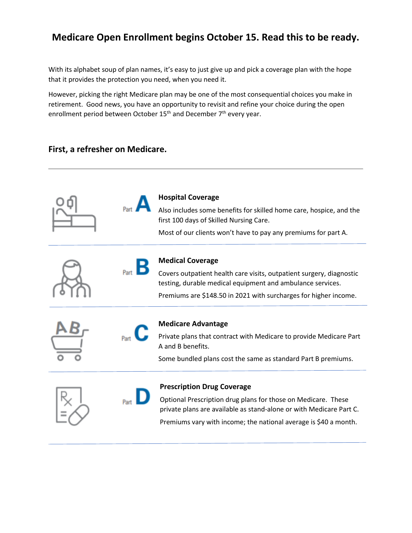# **Medicare Open Enrollment begins October 15. Read this to be ready.**

With its alphabet soup of plan names, it's easy to just give up and pick a coverage plan with the hope that it provides the protection you need, when you need it.

However, picking the right Medicare plan may be one of the most consequential choices you make in retirement. Good news, you have an opportunity to revisit and refine your choice during the open enrollment period between October 15<sup>th</sup> and December 7<sup>th</sup> every year.

#### **First, a refresher on Medicare.**

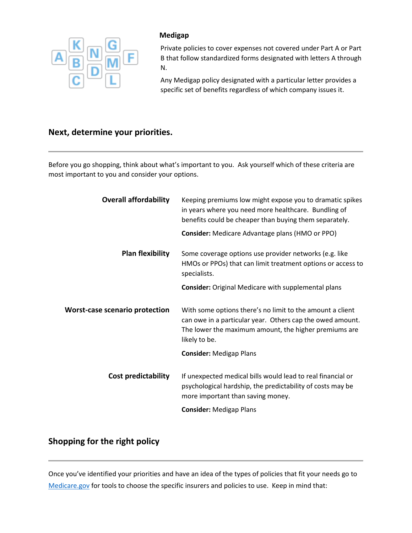

#### **Medigap**

Private policies to cover expenses not covered under Part A or Part B that follow standardized forms designated with letters A through N.

Any Medigap policy designated with a particular letter provides a specific set of benefits regardless of which company issues it.

# **Next, determine your priorities.**

Before you go shopping, think about what's important to you. Ask yourself which of these criteria are most important to you and consider your options.

| <b>Overall affordability</b>          | Keeping premiums low might expose you to dramatic spikes<br>in years where you need more healthcare. Bundling of<br>benefits could be cheaper than buying them separately.                       |
|---------------------------------------|--------------------------------------------------------------------------------------------------------------------------------------------------------------------------------------------------|
|                                       | <b>Consider:</b> Medicare Advantage plans (HMO or PPO)                                                                                                                                           |
| <b>Plan flexibility</b>               | Some coverage options use provider networks (e.g. like<br>HMOs or PPOs) that can limit treatment options or access to<br>specialists.                                                            |
|                                       | <b>Consider:</b> Original Medicare with supplemental plans                                                                                                                                       |
| <b>Worst-case scenario protection</b> | With some options there's no limit to the amount a client<br>can owe in a particular year. Others cap the owed amount.<br>The lower the maximum amount, the higher premiums are<br>likely to be. |
|                                       | <b>Consider: Medigap Plans</b>                                                                                                                                                                   |
| <b>Cost predictability</b>            | If unexpected medical bills would lead to real financial or<br>psychological hardship, the predictability of costs may be<br>more important than saving money.                                   |
|                                       | <b>Consider: Medigap Plans</b>                                                                                                                                                                   |

## **Shopping for the right policy**

Once you've identified your priorities and have an idea of the types of policies that fit your needs go to [Medicare.gov](https://www.medicare.gov/) for tools to choose the specific insurers and policies to use. Keep in mind that: